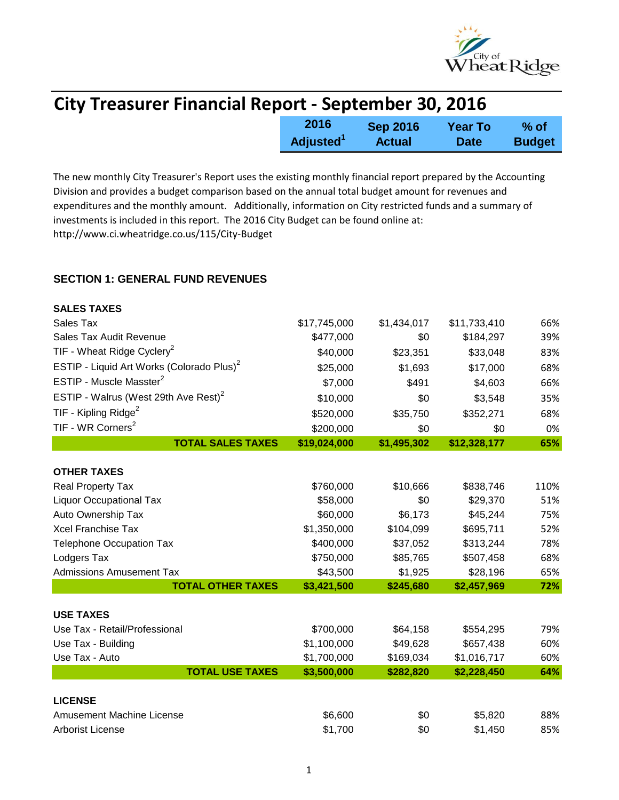

| <b>City Treasurer Financial Report - September 30, 2016</b> |                       |                 |                |               |
|-------------------------------------------------------------|-----------------------|-----------------|----------------|---------------|
|                                                             | 2016                  | <b>Sep 2016</b> | <b>Year To</b> | $%$ of        |
|                                                             | Adjusted <sup>1</sup> | <b>Actual</b>   | <b>Date</b>    | <b>Budget</b> |

The new monthly City Treasurer's Report uses the existing monthly financial report prepared by the Accounting Division and provides a budget comparison based on the annual total budget amount for revenues and expenditures and the monthly amount. Additionally, information on City restricted funds and a summary of investments is included in this report. The 2016 City Budget can be found online at: http://www.ci.wheatridge.co.us/115/City-Budget

## **SECTION 1: GENERAL FUND REVENUES**

| <b>SALES TAXES</b>                                    |              |             |              |      |
|-------------------------------------------------------|--------------|-------------|--------------|------|
| Sales Tax                                             | \$17,745,000 | \$1,434,017 | \$11,733,410 | 66%  |
| Sales Tax Audit Revenue                               | \$477,000    | \$0         | \$184,297    | 39%  |
| TIF - Wheat Ridge Cyclery <sup>2</sup>                | \$40,000     | \$23,351    | \$33,048     | 83%  |
| ESTIP - Liquid Art Works (Colorado Plus) <sup>2</sup> | \$25,000     | \$1,693     | \$17,000     | 68%  |
| ESTIP - Muscle Masster <sup>2</sup>                   | \$7,000      | \$491       | \$4,603      | 66%  |
| ESTIP - Walrus (West 29th Ave Rest) <sup>2</sup>      | \$10,000     | \$0         | \$3,548      | 35%  |
| TIF - Kipling Ridge <sup>2</sup>                      | \$520,000    | \$35,750    | \$352,271    | 68%  |
| TIF - WR Corners <sup>2</sup>                         | \$200,000    | \$0         | \$0          | 0%   |
| <b>TOTAL SALES TAXES</b>                              | \$19,024,000 | \$1,495,302 | \$12,328,177 | 65%  |
|                                                       |              |             |              |      |
| <b>OTHER TAXES</b>                                    |              |             |              |      |
| Real Property Tax                                     | \$760,000    | \$10,666    | \$838,746    | 110% |
| <b>Liquor Occupational Tax</b>                        | \$58,000     | \$0         | \$29,370     | 51%  |
| Auto Ownership Tax                                    | \$60,000     | \$6,173     | \$45,244     | 75%  |
| <b>Xcel Franchise Tax</b>                             | \$1,350,000  | \$104,099   | \$695,711    | 52%  |
| <b>Telephone Occupation Tax</b>                       | \$400,000    | \$37,052    | \$313,244    | 78%  |
| Lodgers Tax                                           | \$750,000    | \$85,765    | \$507,458    | 68%  |
| <b>Admissions Amusement Tax</b>                       | \$43,500     | \$1,925     | \$28,196     | 65%  |
| <b>TOTAL OTHER TAXES</b>                              | \$3,421,500  | \$245,680   | \$2,457,969  | 72%  |
|                                                       |              |             |              |      |
| <b>USE TAXES</b>                                      |              |             |              |      |
| Use Tax - Retail/Professional                         | \$700,000    | \$64,158    | \$554,295    | 79%  |
| Use Tax - Building                                    | \$1,100,000  | \$49,628    | \$657,438    | 60%  |
| Use Tax - Auto                                        | \$1,700,000  | \$169,034   | \$1,016,717  | 60%  |
| <b>TOTAL USE TAXES</b>                                | \$3,500,000  | \$282,820   | \$2,228,450  | 64%  |
| <b>LICENSE</b>                                        |              |             |              |      |
| <b>Amusement Machine License</b>                      | \$6,600      | \$0         | \$5,820      | 88%  |
| <b>Arborist License</b>                               | \$1,700      | \$0         | \$1,450      | 85%  |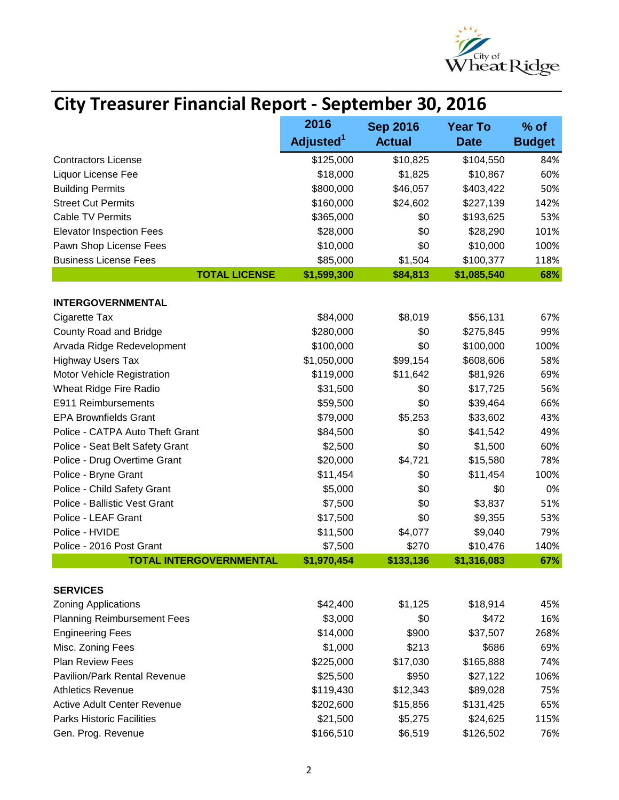

| <b>City Treasurer Financial Report - September 30, 2016</b> |                       |                 |                   |               |  |
|-------------------------------------------------------------|-----------------------|-----------------|-------------------|---------------|--|
|                                                             | 2016                  | <b>Sep 2016</b> | <b>Year To</b>    | $%$ of        |  |
|                                                             | Adjusted <sup>1</sup> | <b>Actual</b>   | <b>Date</b>       | <b>Budget</b> |  |
| <b>Contractors License</b>                                  | \$125,000             | \$10,825        | \$104,550         | 84%           |  |
| Liquor License Fee                                          | \$18,000              | \$1,825         | \$10,867          | 60%           |  |
| <b>Building Permits</b>                                     | \$800,000             | \$46,057        | \$403,422         | 50%           |  |
| <b>Street Cut Permits</b>                                   | \$160,000             | \$24,602        | \$227,139         | 142%          |  |
| <b>Cable TV Permits</b>                                     | \$365,000             | \$0             | \$193,625         | 53%           |  |
| <b>Elevator Inspection Fees</b>                             | \$28,000              | \$0             | \$28,290          | 101%          |  |
| Pawn Shop License Fees                                      | \$10,000              | \$0             | \$10,000          | 100%          |  |
| <b>Business License Fees</b>                                | \$85,000              | \$1,504         | \$100,377         | 118%          |  |
| <b>TOTAL LICENSE</b>                                        | \$1,599,300           | \$84,813        | \$1,085,540       | 68%           |  |
|                                                             |                       |                 |                   |               |  |
| <b>INTERGOVERNMENTAL</b>                                    |                       |                 |                   |               |  |
| Cigarette Tax                                               | \$84,000              | \$8,019         | \$56,131          | 67%           |  |
| County Road and Bridge                                      | \$280,000             | \$0             | \$275,845         | 99%           |  |
| Arvada Ridge Redevelopment                                  | \$100,000             | \$0             | \$100,000         | 100%          |  |
| <b>Highway Users Tax</b>                                    | \$1,050,000           | \$99,154        | \$608,606         | 58%           |  |
| Motor Vehicle Registration                                  | \$119,000             | \$11,642        | \$81,926          | 69%           |  |
| Wheat Ridge Fire Radio                                      | \$31,500              | \$0             | \$17,725          | 56%           |  |
| E911 Reimbursements                                         | \$59,500              | \$0             | \$39,464          | 66%           |  |
| <b>EPA Brownfields Grant</b>                                | \$79,000              | \$5,253         | \$33,602          | 43%           |  |
| Police - CATPA Auto Theft Grant                             | \$84,500              | \$0             | \$41,542          | 49%           |  |
| Police - Seat Belt Safety Grant                             | \$2,500               | \$0             | \$1,500           | 60%           |  |
| Police - Drug Overtime Grant                                | \$20,000              | \$4,721         | \$15,580          | 78%           |  |
| Police - Bryne Grant                                        | \$11,454              | \$0             | \$11,454          | 100%          |  |
| Police - Child Safety Grant                                 | \$5,000               | \$0             | \$0               | 0%            |  |
| Police - Ballistic Vest Grant                               | \$7,500               | \$0             | \$3,837           | 51%           |  |
| Police - LEAF Grant                                         | \$17,500              | \$0             | \$9,355           | 53%           |  |
| Police - HVIDE                                              | \$11,500              | \$4,077         | \$9,040           | 79%           |  |
| Police - 2016 Post Grant                                    | \$7,500               | \$270           | \$10,476          | 140%          |  |
| <b>TOTAL INTERGOVERNMENTAL</b>                              | \$1,970,454           | \$133,136       | \$1,316,083       | 67%           |  |
|                                                             |                       |                 |                   |               |  |
| <b>SERVICES</b>                                             | \$42,400              |                 |                   | 45%           |  |
| <b>Zoning Applications</b>                                  |                       | \$1,125<br>\$0  | \$18,914<br>\$472 |               |  |
| <b>Planning Reimbursement Fees</b>                          | \$3,000               |                 |                   | 16%           |  |
| <b>Engineering Fees</b>                                     | \$14,000              | \$900           | \$37,507          | 268%          |  |
| Misc. Zoning Fees                                           | \$1,000               | \$213           | \$686             | 69%           |  |
| <b>Plan Review Fees</b>                                     | \$225,000             | \$17,030        | \$165,888         | 74%           |  |
| Pavilion/Park Rental Revenue                                | \$25,500              | \$950           | \$27,122          | 106%          |  |
| <b>Athletics Revenue</b>                                    | \$119,430             | \$12,343        | \$89,028          | 75%           |  |
| <b>Active Adult Center Revenue</b>                          | \$202,600             | \$15,856        | \$131,425         | 65%           |  |
| <b>Parks Historic Facilities</b>                            | \$21,500              | \$5,275         | \$24,625          | 115%          |  |
| Gen. Prog. Revenue                                          | \$166,510             | \$6,519         | \$126,502         | 76%           |  |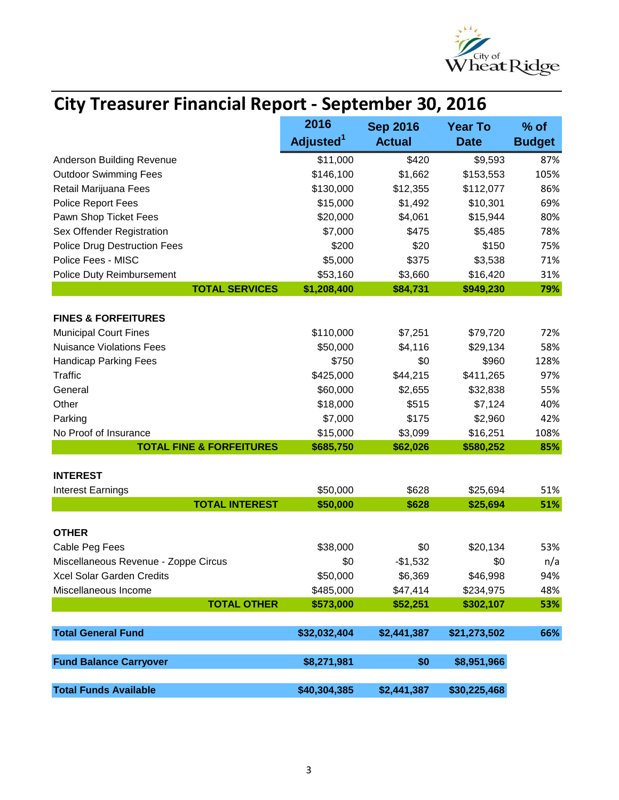

|                                      | <b>City Treasurer Financial Report - September 30, 2016</b> |                 |                |               |  |
|--------------------------------------|-------------------------------------------------------------|-----------------|----------------|---------------|--|
|                                      | 2016                                                        | <b>Sep 2016</b> | <b>Year To</b> | % of          |  |
|                                      | Adjusted <sup>1</sup>                                       | <b>Actual</b>   | <b>Date</b>    | <b>Budget</b> |  |
| Anderson Building Revenue            | \$11,000                                                    | \$420           | \$9,593        | 87%           |  |
| <b>Outdoor Swimming Fees</b>         | \$146,100                                                   | \$1,662         | \$153,553      | 105%          |  |
| Retail Marijuana Fees                | \$130,000                                                   | \$12,355        | \$112,077      | 86%           |  |
| Police Report Fees                   | \$15,000                                                    | \$1,492         | \$10,301       | 69%           |  |
| Pawn Shop Ticket Fees                | \$20,000                                                    | \$4,061         | \$15,944       | 80%           |  |
| Sex Offender Registration            | \$7,000                                                     | \$475           | \$5,485        | 78%           |  |
| <b>Police Drug Destruction Fees</b>  | \$200                                                       | \$20            | \$150          | 75%           |  |
| Police Fees - MISC                   | \$5,000                                                     | \$375           | \$3,538        | 71%           |  |
| <b>Police Duty Reimbursement</b>     | \$53,160                                                    | \$3,660         | \$16,420       | 31%           |  |
| <b>TOTAL SERVICES</b>                | \$1,208,400                                                 | \$84,731        | \$949,230      | 79%           |  |
| <b>FINES &amp; FORFEITURES</b>       |                                                             |                 |                |               |  |
| <b>Municipal Court Fines</b>         | \$110,000                                                   | \$7,251         | \$79,720       | 72%           |  |
| <b>Nuisance Violations Fees</b>      | \$50,000                                                    | \$4,116         | \$29,134       | 58%           |  |
| <b>Handicap Parking Fees</b>         | \$750                                                       | \$0             | \$960          | 128%          |  |
| <b>Traffic</b>                       | \$425,000                                                   | \$44,215        | \$411,265      | 97%           |  |
| General                              | \$60,000                                                    | \$2,655         | \$32,838       | 55%           |  |
| Other                                | \$18,000                                                    | \$515           | \$7,124        | 40%           |  |
| Parking                              | \$7,000                                                     | \$175           | \$2,960        | 42%           |  |
| No Proof of Insurance                | \$15,000                                                    | \$3,099         | \$16,251       | 108%          |  |
| <b>TOTAL FINE &amp; FORFEITURES</b>  | \$685,750                                                   | \$62,026        | \$580,252      | 85%           |  |
| <b>INTEREST</b>                      |                                                             |                 |                |               |  |
| <b>Interest Earnings</b>             | \$50,000                                                    | \$628           | \$25,694       | 51%           |  |
| <b>TOTAL INTEREST</b>                | \$50,000                                                    | \$628           | \$25,694       | 51%           |  |
|                                      |                                                             |                 |                |               |  |
| <b>OTHER</b>                         |                                                             |                 |                |               |  |
| Cable Peg Fees                       | \$38,000                                                    | \$0             | \$20,134       | 53%           |  |
| Miscellaneous Revenue - Zoppe Circus | \$0                                                         | $-$1,532$       | \$0            | n/a           |  |
| Xcel Solar Garden Credits            | \$50,000                                                    | \$6,369         | \$46,998       | 94%           |  |
| Miscellaneous Income                 | \$485,000                                                   | \$47,414        | \$234,975      | 48%           |  |
| <b>TOTAL OTHER</b>                   | \$573,000                                                   | \$52,251        | \$302,107      | 53%           |  |
| <b>Total General Fund</b>            | \$32,032,404                                                | \$2,441,387     | \$21,273,502   | 66%           |  |
| <b>Fund Balance Carryover</b>        | \$8,271,981                                                 | \$0             | \$8,951,966    |               |  |
|                                      |                                                             |                 |                |               |  |
| <b>Total Funds Available</b>         | \$40,304,385                                                | \$2,441,387     | \$30,225,468   |               |  |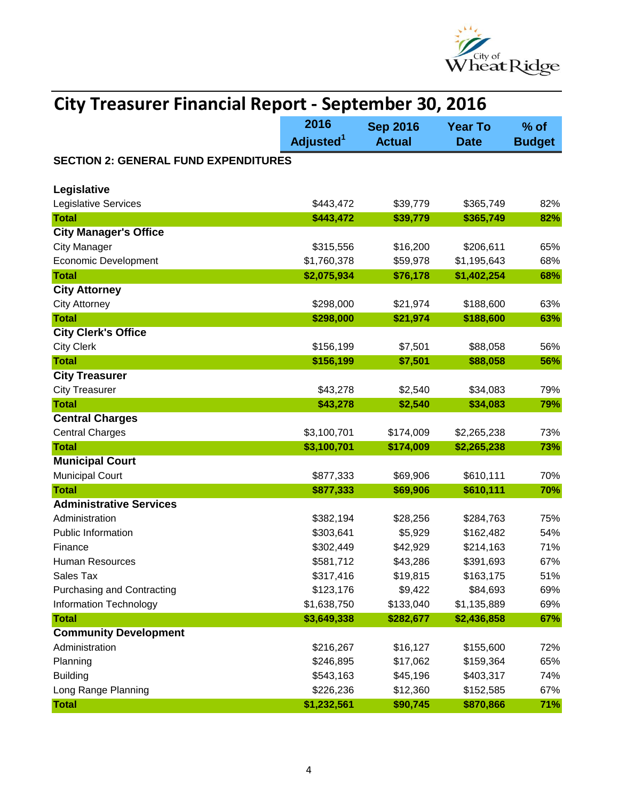

| <b>City Treasurer Financial Report - September 30, 2016</b> |                       |                 |                |               |
|-------------------------------------------------------------|-----------------------|-----------------|----------------|---------------|
|                                                             | 2016                  | <b>Sep 2016</b> | <b>Year To</b> | $%$ of        |
|                                                             | Adjusted <sup>1</sup> | <b>Actual</b>   | <b>Date</b>    | <b>Budget</b> |
| <b>SECTION 2: GENERAL FUND EXPENDITURES</b>                 |                       |                 |                |               |
|                                                             |                       |                 |                |               |
| Legislative                                                 |                       |                 |                |               |
| <b>Legislative Services</b>                                 | \$443,472             | \$39,779        | \$365,749      | 82%           |
| <b>Total</b>                                                | \$443,472             | \$39,779        | \$365,749      | 82%           |
| <b>City Manager's Office</b>                                |                       |                 |                |               |
| <b>City Manager</b>                                         | \$315,556             | \$16,200        | \$206,611      | 65%           |
| <b>Economic Development</b>                                 | \$1,760,378           | \$59,978        | \$1,195,643    | 68%           |
| <b>Total</b>                                                | \$2,075,934           | \$76,178        | \$1,402,254    | 68%           |
| <b>City Attorney</b>                                        |                       |                 |                |               |
| <b>City Attorney</b>                                        | \$298,000             | \$21,974        | \$188,600      | 63%           |
| <b>Total</b>                                                | \$298,000             | \$21,974        | \$188,600      | 63%           |
| <b>City Clerk's Office</b>                                  |                       |                 |                |               |
| <b>City Clerk</b>                                           | \$156,199             | \$7,501         | \$88,058       | 56%           |
| <b>Total</b>                                                | \$156,199             | \$7,501         | \$88,058       | 56%           |
| <b>City Treasurer</b>                                       |                       |                 |                | 79%           |
| <b>City Treasurer</b><br><b>Total</b>                       | \$43,278              | \$2,540         | \$34,083       |               |
| <b>Central Charges</b>                                      | \$43,278              | \$2,540         | \$34,083       | 79%           |
| <b>Central Charges</b>                                      | \$3,100,701           | \$174,009       | \$2,265,238    | 73%           |
| <b>Total</b>                                                | \$3,100,701           | \$174,009       | \$2,265,238    | 73%           |
| <b>Municipal Court</b>                                      |                       |                 |                |               |
| <b>Municipal Court</b>                                      | \$877,333             | \$69,906        | \$610,111      | 70%           |
| <b>Total</b>                                                | \$877,333             | \$69,906        | \$610,111      | 70%           |
| <b>Administrative Services</b>                              |                       |                 |                |               |
| Administration                                              | \$382,194             | \$28,256        | \$284,763      | 75%           |
| <b>Public Information</b>                                   | \$303,641             | \$5,929         | \$162,482      | 54%           |
| Finance                                                     | \$302,449             | \$42,929        | \$214,163      | 71%           |
| Human Resources                                             | \$581,712             | \$43,286        | \$391,693      | 67%           |
| Sales Tax                                                   | \$317,416             | \$19,815        | \$163,175      | 51%           |
| <b>Purchasing and Contracting</b>                           | \$123,176             | \$9,422         | \$84,693       | 69%           |
| Information Technology                                      | \$1,638,750           | \$133,040       | \$1,135,889    | 69%           |
| <b>Total</b>                                                | \$3,649,338           | \$282,677       | \$2,436,858    | 67%           |
| <b>Community Development</b>                                |                       |                 |                |               |
| Administration                                              | \$216,267             | \$16,127        | \$155,600      | 72%           |
| Planning                                                    | \$246,895             | \$17,062        | \$159,364      | 65%           |
| <b>Building</b>                                             | \$543,163             | \$45,196        | \$403,317      | 74%           |
| Long Range Planning                                         | \$226,236             | \$12,360        | \$152,585      | 67%           |
| <b>Total</b>                                                | \$1,232,561           | \$90,745        | \$870,866      | 71%           |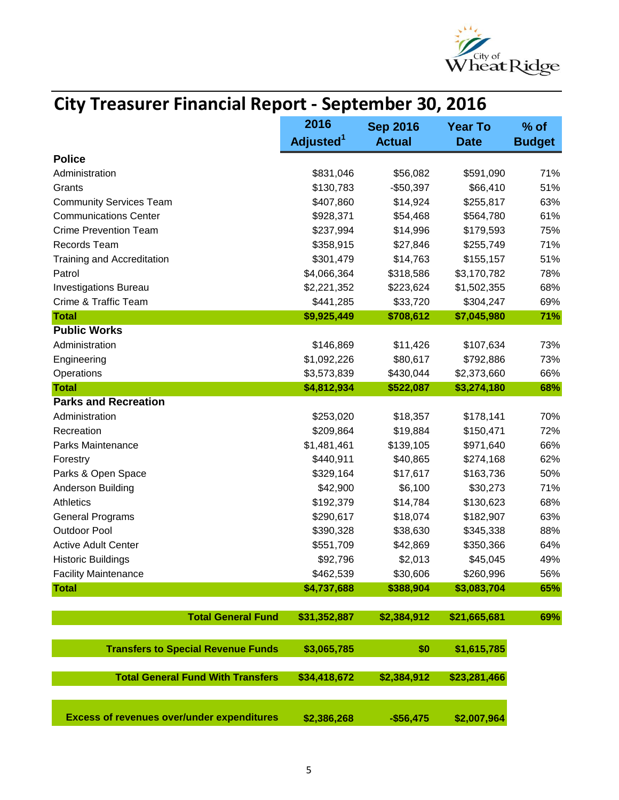

|                                                   | <b>City Treasurer Financial Report - September 30, 2016</b> |                 |                |               |  |
|---------------------------------------------------|-------------------------------------------------------------|-----------------|----------------|---------------|--|
|                                                   | 2016                                                        | <b>Sep 2016</b> | <b>Year To</b> | $%$ of        |  |
|                                                   | Adjusted <sup>1</sup>                                       | <b>Actual</b>   | <b>Date</b>    | <b>Budget</b> |  |
| <b>Police</b>                                     |                                                             |                 |                |               |  |
| Administration                                    | \$831,046                                                   | \$56,082        | \$591,090      | 71%           |  |
| Grants                                            | \$130,783                                                   | $-$50,397$      | \$66,410       | 51%           |  |
| <b>Community Services Team</b>                    | \$407,860                                                   | \$14,924        | \$255,817      | 63%           |  |
| <b>Communications Center</b>                      | \$928,371                                                   | \$54,468        | \$564,780      | 61%           |  |
| <b>Crime Prevention Team</b>                      | \$237,994                                                   | \$14,996        | \$179,593      | 75%           |  |
| <b>Records Team</b>                               | \$358,915                                                   | \$27,846        | \$255,749      | 71%           |  |
| <b>Training and Accreditation</b>                 | \$301,479                                                   | \$14,763        | \$155,157      | 51%           |  |
| Patrol                                            | \$4,066,364                                                 | \$318,586       | \$3,170,782    | 78%           |  |
| <b>Investigations Bureau</b>                      | \$2,221,352                                                 | \$223,624       | \$1,502,355    | 68%           |  |
| Crime & Traffic Team                              | \$441,285                                                   | \$33,720        | \$304,247      | 69%           |  |
| <b>Total</b>                                      | \$9,925,449                                                 | \$708,612       | \$7,045,980    | 71%           |  |
| <b>Public Works</b>                               |                                                             |                 |                |               |  |
| Administration                                    | \$146,869                                                   | \$11,426        | \$107,634      | 73%           |  |
| Engineering                                       | \$1,092,226                                                 | \$80,617        | \$792,886      | 73%           |  |
| Operations                                        | \$3,573,839                                                 | \$430,044       | \$2,373,660    | 66%           |  |
| <b>Total</b>                                      | \$4,812,934                                                 | \$522,087       | \$3,274,180    | 68%           |  |
| <b>Parks and Recreation</b>                       |                                                             |                 |                |               |  |
| Administration                                    | \$253,020                                                   | \$18,357        | \$178,141      | 70%           |  |
| Recreation                                        | \$209,864                                                   | \$19,884        | \$150,471      | 72%           |  |
| <b>Parks Maintenance</b>                          | \$1,481,461                                                 | \$139,105       | \$971,640      | 66%           |  |
| Forestry                                          | \$440,911                                                   | \$40,865        | \$274,168      | 62%           |  |
| Parks & Open Space                                | \$329,164                                                   | \$17,617        | \$163,736      | 50%           |  |
| Anderson Building                                 | \$42,900                                                    | \$6,100         | \$30,273       | 71%           |  |
| <b>Athletics</b>                                  | \$192,379                                                   | \$14,784        | \$130,623      | 68%           |  |
| <b>General Programs</b>                           | \$290,617                                                   | \$18,074        | \$182,907      | 63%           |  |
| <b>Outdoor Pool</b>                               | \$390,328                                                   | \$38,630        | \$345,338      | 88%           |  |
| <b>Active Adult Center</b>                        | \$551,709                                                   | \$42,869        | \$350,366      | 64%           |  |
| <b>Historic Buildings</b>                         | \$92,796                                                    | \$2,013         | \$45,045       | 49%           |  |
| <b>Facility Maintenance</b>                       | \$462,539                                                   | \$30,606        | \$260,996      | 56%           |  |
| <b>Total</b>                                      | \$4,737,688                                                 | \$388,904       | \$3,083,704    | 65%           |  |
|                                                   |                                                             |                 |                |               |  |
| <b>Total General Fund</b>                         | \$31,352,887                                                | \$2,384,912     | \$21,665,681   | 69%           |  |
|                                                   |                                                             |                 |                |               |  |
| <b>Transfers to Special Revenue Funds</b>         | \$3,065,785                                                 | \$0             | \$1,615,785    |               |  |
|                                                   |                                                             |                 |                |               |  |
| <b>Total General Fund With Transfers</b>          | \$34,418,672                                                | \$2,384,912     | \$23,281,466   |               |  |
| <b>Excess of revenues over/under expenditures</b> | \$2,386,268                                                 | $-$56,475$      | \$2,007,964    |               |  |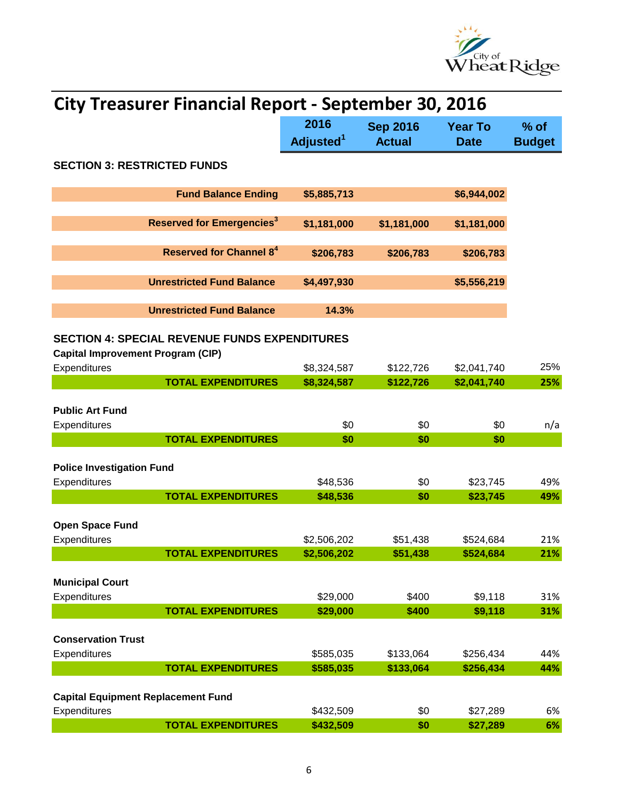

| <b>City Treasurer Financial Report - September 30, 2016</b>                                      |                               |                                  |                               |                         |
|--------------------------------------------------------------------------------------------------|-------------------------------|----------------------------------|-------------------------------|-------------------------|
|                                                                                                  | 2016<br>Adjusted <sup>1</sup> | <b>Sep 2016</b><br><b>Actual</b> | <b>Year To</b><br><b>Date</b> | $%$ of<br><b>Budget</b> |
| <b>SECTION 3: RESTRICTED FUNDS</b>                                                               |                               |                                  |                               |                         |
| <b>Fund Balance Ending</b>                                                                       | \$5,885,713                   |                                  | \$6,944,002                   |                         |
| <b>Reserved for Emergencies<sup>3</sup></b>                                                      | \$1,181,000                   | \$1,181,000                      | \$1,181,000                   |                         |
| <b>Reserved for Channel 8<sup>4</sup></b>                                                        | \$206,783                     | \$206,783                        | \$206,783                     |                         |
| <b>Unrestricted Fund Balance</b>                                                                 | \$4,497,930                   |                                  | \$5,556,219                   |                         |
| <b>Unrestricted Fund Balance</b>                                                                 | 14.3%                         |                                  |                               |                         |
| <b>SECTION 4: SPECIAL REVENUE FUNDS EXPENDITURES</b><br><b>Capital Improvement Program (CIP)</b> |                               |                                  |                               |                         |
| Expenditures                                                                                     | \$8,324,587                   | \$122,726                        | \$2,041,740                   | 25%                     |
| <b>TOTAL EXPENDITURES</b>                                                                        | \$8,324,587                   | \$122,726                        | \$2,041,740                   | 25%                     |
|                                                                                                  |                               |                                  |                               |                         |
| <b>Public Art Fund</b>                                                                           |                               |                                  |                               |                         |
| Expenditures                                                                                     | \$0                           | \$0                              | \$0                           | n/a                     |
| <b>TOTAL EXPENDITURES</b>                                                                        | \$0                           | \$0                              | \$0                           |                         |
| <b>Police Investigation Fund</b>                                                                 |                               |                                  |                               |                         |
| Expenditures                                                                                     | \$48,536                      | \$0                              | \$23,745                      | 49%                     |
| <b>TOTAL EXPENDITURES</b>                                                                        | \$48,536                      | \$0                              | \$23,745                      | 49%                     |
|                                                                                                  |                               |                                  |                               |                         |
| <b>Open Space Fund</b>                                                                           |                               |                                  |                               |                         |
| <b>Expenditures</b>                                                                              | \$2,506,202                   | \$51,438                         | \$524,684                     | 21%                     |
| <b>TOTAL EXPENDITURES</b>                                                                        | \$2,506,202                   | \$51,438                         | \$524,684                     | 21%                     |
| <b>Municipal Court</b>                                                                           |                               |                                  |                               |                         |
| Expenditures                                                                                     | \$29,000                      | \$400                            | \$9,118                       | 31%                     |
| <b>TOTAL EXPENDITURES</b>                                                                        | \$29,000                      | \$400                            | \$9,118                       | 31%                     |
|                                                                                                  |                               |                                  |                               |                         |
| <b>Conservation Trust</b>                                                                        |                               |                                  |                               |                         |
| Expenditures                                                                                     | \$585,035                     | \$133,064                        | \$256,434                     | 44%                     |
| <b>TOTAL EXPENDITURES</b>                                                                        | \$585,035                     | \$133,064                        | \$256,434                     | 44%                     |
| <b>Capital Equipment Replacement Fund</b>                                                        |                               |                                  |                               |                         |
| Expenditures                                                                                     | \$432,509                     | \$0                              | \$27,289                      | 6%                      |
| <b>TOTAL EXPENDITURES</b>                                                                        | \$432,509                     | \$0                              | \$27,289                      | 6%                      |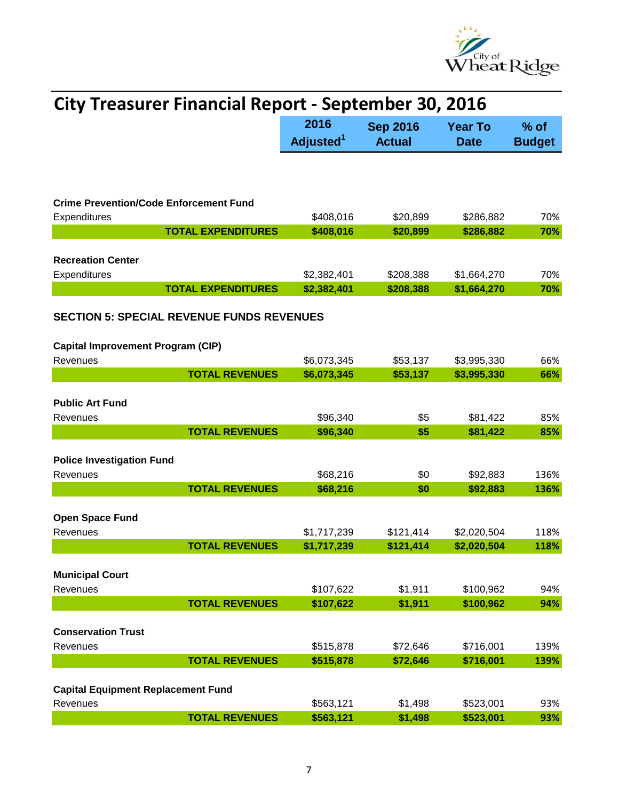

| <b>City Treasurer Financial Report - September 30, 2016</b>                                  |                               |                                  |                               |                         |
|----------------------------------------------------------------------------------------------|-------------------------------|----------------------------------|-------------------------------|-------------------------|
|                                                                                              | 2016<br>Adjusted <sup>1</sup> | <b>Sep 2016</b><br><b>Actual</b> | <b>Year To</b><br><b>Date</b> | $%$ of<br><b>Budget</b> |
|                                                                                              |                               |                                  |                               |                         |
| <b>Crime Prevention/Code Enforcement Fund</b>                                                |                               |                                  |                               |                         |
| Expenditures<br><b>TOTAL EXPENDITURES</b>                                                    | \$408,016<br>\$408,016        | \$20,899<br>\$20,899             | \$286,882<br>\$286,882        | 70%<br>70%              |
|                                                                                              |                               |                                  |                               |                         |
| <b>Recreation Center</b><br>Expenditures                                                     | \$2,382,401                   | \$208,388                        | \$1,664,270                   | 70%                     |
| <b>TOTAL EXPENDITURES</b>                                                                    | \$2,382,401                   | \$208,388                        | \$1,664,270                   | 70%                     |
| <b>SECTION 5: SPECIAL REVENUE FUNDS REVENUES</b><br><b>Capital Improvement Program (CIP)</b> |                               |                                  |                               |                         |
| Revenues                                                                                     | \$6,073,345                   | \$53,137                         | \$3,995,330                   | 66%                     |
| <b>TOTAL REVENUES</b>                                                                        | \$6,073,345                   | \$53,137                         | \$3,995,330                   | 66%                     |
| <b>Public Art Fund</b>                                                                       |                               |                                  |                               |                         |
| Revenues                                                                                     | \$96,340                      | \$5                              | \$81,422                      | 85%                     |
| <b>TOTAL REVENUES</b>                                                                        | \$96,340                      | \$5                              | \$81,422                      | 85%                     |
| <b>Police Investigation Fund</b><br>Revenues                                                 | \$68,216                      | \$0                              | \$92,883                      | 136%                    |
| <b>TOTAL REVENUES</b>                                                                        | \$68,216                      | \$0                              | \$92,883                      | 136%                    |
| <b>Open Space Fund</b><br>Revenues<br><b>TOTAL REVENUES</b>                                  | \$1,717,239<br>\$1,717,239    | \$121,414<br>\$121,414           | \$2,020,504<br>\$2,020,504    | 118%<br>118%            |
|                                                                                              |                               |                                  |                               |                         |
| <b>Municipal Court</b><br>Revenues                                                           | \$107,622                     | \$1,911                          | \$100,962                     | 94%                     |
| <b>TOTAL REVENUES</b>                                                                        | \$107,622                     | \$1,911                          | \$100,962                     | 94%                     |
| <b>Conservation Trust</b>                                                                    |                               |                                  |                               |                         |
| Revenues                                                                                     | \$515,878                     | \$72,646                         | \$716,001                     | 139%                    |
| <b>TOTAL REVENUES</b>                                                                        | \$515,878                     | \$72,646                         | \$716,001                     | 139%                    |
| <b>Capital Equipment Replacement Fund</b>                                                    |                               |                                  |                               |                         |
| Revenues<br><b>TOTAL REVENUES</b>                                                            | \$563,121<br>\$563,121        | \$1,498<br>\$1,498               | \$523,001<br>\$523,001        | 93%<br>93%              |